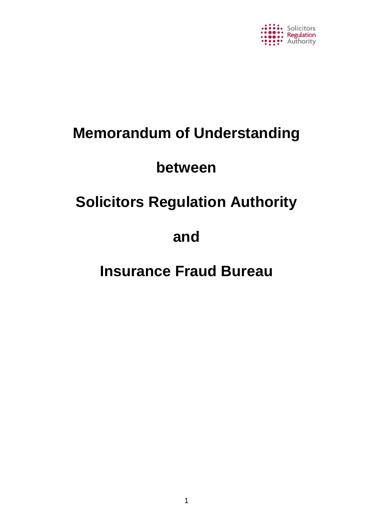

# **Memorandum of Understanding**

# **between**

# **Solicitors Regulation Authority**

# **and**

# **Insurance Fraud Bureau**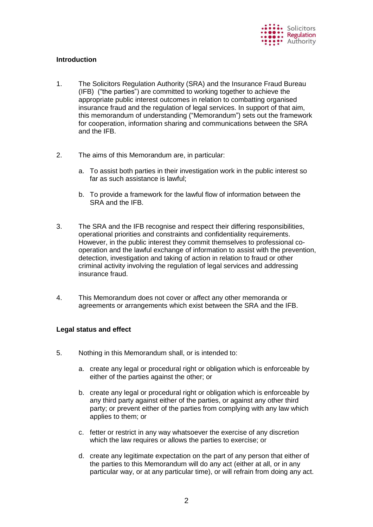

# **Introduction**

- 1. The Solicitors Regulation Authority (SRA) and the Insurance Fraud Bureau (IFB) ("the parties") are committed to working together to achieve the appropriate public interest outcomes in relation to combatting organised insurance fraud and the regulation of legal services. In support of that aim, this memorandum of understanding ("Memorandum") sets out the framework for cooperation, information sharing and communications between the SRA and the IFB.
- 2. The aims of this Memorandum are, in particular:
	- a. To assist both parties in their investigation work in the public interest so far as such assistance is lawful;
	- b. To provide a framework for the lawful flow of information between the SRA and the IFB.
- 3. The SRA and the IFB recognise and respect their differing responsibilities, operational priorities and constraints and confidentiality requirements. However, in the public interest they commit themselves to professional cooperation and the lawful exchange of information to assist with the prevention, detection, investigation and taking of action in relation to fraud or other criminal activity involving the regulation of legal services and addressing insurance fraud.
- 4. This Memorandum does not cover or affect any other memoranda or agreements or arrangements which exist between the SRA and the IFB.

# **Legal status and effect**

- 5. Nothing in this Memorandum shall, or is intended to:
	- a. create any legal or procedural right or obligation which is enforceable by either of the parties against the other; or
	- b. create any legal or procedural right or obligation which is enforceable by any third party against either of the parties, or against any other third party; or prevent either of the parties from complying with any law which applies to them; or
	- c. fetter or restrict in any way whatsoever the exercise of any discretion which the law requires or allows the parties to exercise; or
	- d. create any legitimate expectation on the part of any person that either of the parties to this Memorandum will do any act (either at all, or in any particular way, or at any particular time), or will refrain from doing any act.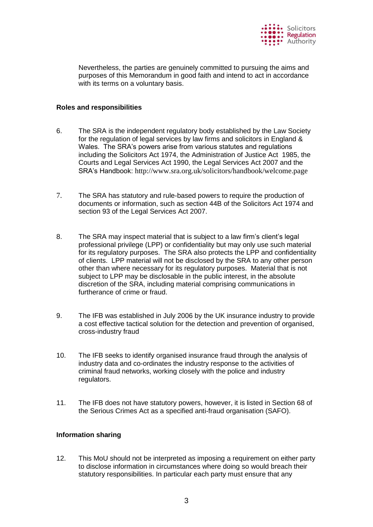

Nevertheless, the parties are genuinely committed to pursuing the aims and purposes of this Memorandum in good faith and intend to act in accordance with its terms on a voluntary basis.

## **Roles and responsibilities**

- 6. The SRA is the independent regulatory body established by the Law Society for the regulation of legal services by law firms and solicitors in England & Wales. The SRA's powers arise from various statutes and regulations including the Solicitors Act 1974, the Administration of Justice Act 1985, the Courts and Legal Services Act 1990, the Legal Services Act 2007 and the SRA's Handbook: <http://www.sra.org.uk/solicitors/handbook/welcome.page>
- 7. The SRA has statutory and rule-based powers to require the production of documents or information, such as section 44B of the Solicitors Act 1974 and section 93 of the Legal Services Act 2007.
- 8. The SRA may inspect material that is subject to a law firm's client's legal professional privilege (LPP) or confidentiality but may only use such material for its regulatory purposes. The SRA also protects the LPP and confidentiality of clients. LPP material will not be disclosed by the SRA to any other person other than where necessary for its regulatory purposes. Material that is not subject to LPP may be disclosable in the public interest, in the absolute discretion of the SRA, including material comprising communications in furtherance of crime or fraud.
- 9. The IFB was established in July 2006 by the UK insurance industry to provide a cost effective tactical solution for the detection and prevention of organised, cross-industry fraud
- 10. The IFB seeks to identify organised insurance fraud through the analysis of industry data and co-ordinates the industry response to the activities of criminal fraud networks, working closely with the police and industry regulators.
- 11. The IFB does not have statutory powers, however, it is listed in Section 68 of the Serious Crimes Act as a specified anti-fraud organisation (SAFO).

# **Information sharing**

12. This MoU should not be interpreted as imposing a requirement on either party to disclose information in circumstances where doing so would breach their statutory responsibilities. In particular each party must ensure that any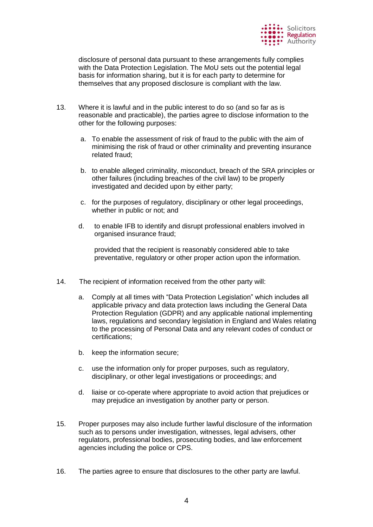

disclosure of personal data pursuant to these arrangements fully complies with the Data Protection Legislation. The MoU sets out the potential legal basis for information sharing, but it is for each party to determine for themselves that any proposed disclosure is compliant with the law.

- 13. Where it is lawful and in the public interest to do so (and so far as is reasonable and practicable), the parties agree to disclose information to the other for the following purposes:
	- a. To enable the assessment of risk of fraud to the public with the aim of minimising the risk of fraud or other criminality and preventing insurance related fraud;
	- b. to enable alleged criminality, misconduct, breach of the SRA principles or other failures (including breaches of the civil law) to be properly investigated and decided upon by either party;
	- c. for the purposes of regulatory, disciplinary or other legal proceedings, whether in public or not; and
	- d. to enable IFB to identify and disrupt professional enablers involved in organised insurance fraud;

provided that the recipient is reasonably considered able to take preventative, regulatory or other proper action upon the information.

- 14. The recipient of information received from the other party will:
	- a. Comply at all times with "Data Protection Legislation" which includes all applicable privacy and data protection laws including the General Data Protection Regulation (GDPR) and any applicable national implementing laws, regulations and secondary legislation in England and Wales relating to the processing of Personal Data and any relevant codes of conduct or certifications;
	- b. keep the information secure;
	- c. use the information only for proper purposes, such as regulatory, disciplinary, or other legal investigations or proceedings; and
	- d. liaise or co-operate where appropriate to avoid action that prejudices or may prejudice an investigation by another party or person.
- 15. Proper purposes may also include further lawful disclosure of the information such as to persons under investigation, witnesses, legal advisers, other regulators, professional bodies, prosecuting bodies, and law enforcement agencies including the police or CPS.
- 16. The parties agree to ensure that disclosures to the other party are lawful.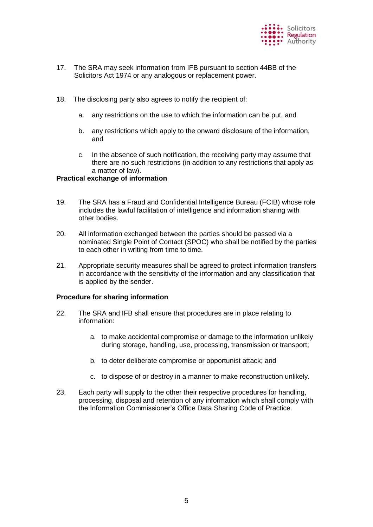

- 17. The SRA may seek information from IFB pursuant to section 44BB of the Solicitors Act 1974 or any analogous or replacement power.
- 18. The disclosing party also agrees to notify the recipient of:
	- a. any restrictions on the use to which the information can be put, and
	- b. any restrictions which apply to the onward disclosure of the information, and
	- c. In the absence of such notification, the receiving party may assume that there are no such restrictions (in addition to any restrictions that apply as a matter of law).

#### **Practical exchange of information**

- 19. The SRA has a Fraud and Confidential Intelligence Bureau (FCIB) whose role includes the lawful facilitation of intelligence and information sharing with other bodies.
- 20. All information exchanged between the parties should be passed via a nominated Single Point of Contact (SPOC) who shall be notified by the parties to each other in writing from time to time.
- 21. Appropriate security measures shall be agreed to protect information transfers in accordance with the sensitivity of the information and any classification that is applied by the sender.

#### **Procedure for sharing information**

- 22. The SRA and IFB shall ensure that procedures are in place relating to information:
	- a. to make accidental compromise or damage to the information unlikely during storage, handling, use, processing, transmission or transport;
	- b. to deter deliberate compromise or opportunist attack; and
	- c. to dispose of or destroy in a manner to make reconstruction unlikely.
- 23. Each party will supply to the other their respective procedures for handling, processing, disposal and retention of any information which shall comply with the Information Commissioner's Office Data Sharing Code of Practice.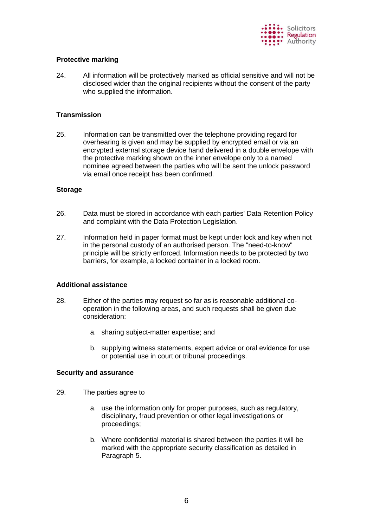

# **Protective marking**

24. All information will be protectively marked as official sensitive and will not be disclosed wider than the original recipients without the consent of the party who supplied the information.

## **Transmission**

25. Information can be transmitted over the telephone providing regard for overhearing is given and may be supplied by encrypted email or via an encrypted external storage device hand delivered in a double envelope with the protective marking shown on the inner envelope only to a named nominee agreed between the parties who will be sent the unlock password via email once receipt has been confirmed.

#### **Storage**

- 26. Data must be stored in accordance with each parties' Data Retention Policy and complaint with the Data Protection Legislation.
- 27. Information held in paper format must be kept under lock and key when not in the personal custody of an authorised person. The "need-to-know" principle will be strictly enforced. Information needs to be protected by two barriers, for example, a locked container in a locked room.

#### **Additional assistance**

- 28. Either of the parties may request so far as is reasonable additional cooperation in the following areas, and such requests shall be given due consideration:
	- a. sharing subject-matter expertise; and
	- b. supplying witness statements, expert advice or oral evidence for use or potential use in court or tribunal proceedings.

#### **Security and assurance**

- 29. The parties agree to
	- a. use the information only for proper purposes, such as regulatory, disciplinary, fraud prevention or other legal investigations or proceedings;
	- b. Where confidential material is shared between the parties it will be marked with the appropriate security classification as detailed in Paragraph 5.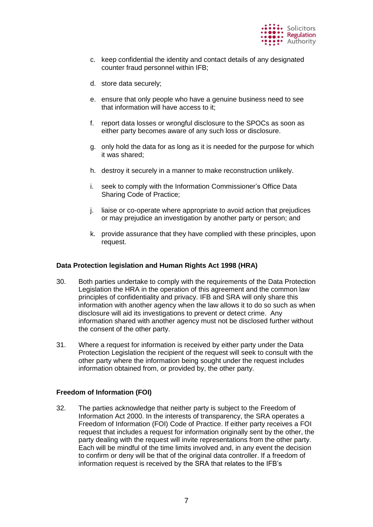

- c. keep confidential the identity and contact details of any designated counter fraud personnel within IFB;
- d. store data securely;
- e. ensure that only people who have a genuine business need to see that information will have access to it;
- f. report data losses or wrongful disclosure to the SPOCs as soon as either party becomes aware of any such loss or disclosure.
- g. only hold the data for as long as it is needed for the purpose for which it was shared;
- h. destroy it securely in a manner to make reconstruction unlikely.
- i. seek to comply with the Information Commissioner's Office Data Sharing Code of Practice;
- j. liaise or co-operate where appropriate to avoid action that prejudices or may prejudice an investigation by another party or person; and
- k. provide assurance that they have complied with these principles, upon request.

#### **Data Protection legislation and Human Rights Act 1998 (HRA)**

- 30. Both parties undertake to comply with the requirements of the Data Protection Legislation the HRA in the operation of this agreement and the common law principles of confidentiality and privacy. IFB and SRA will only share this information with another agency when the law allows it to do so such as when disclosure will aid its investigations to prevent or detect crime. Any information shared with another agency must not be disclosed further without the consent of the other party.
- 31. Where a request for information is received by either party under the Data Protection Legislation the recipient of the request will seek to consult with the other party where the information being sought under the request includes information obtained from, or provided by, the other party.

#### **Freedom of Information (FOI)**

32. The parties acknowledge that neither party is subject to the Freedom of Information Act 2000. In the interests of transparency, the SRA operates a Freedom of Information (FOI) Code of Practice. If either party receives a FOI request that includes a request for information originally sent by the other, the party dealing with the request will invite representations from the other party. Each will be mindful of the time limits involved and, in any event the decision to confirm or deny will be that of the original data controller. If a freedom of information request is received by the SRA that relates to the IFB's